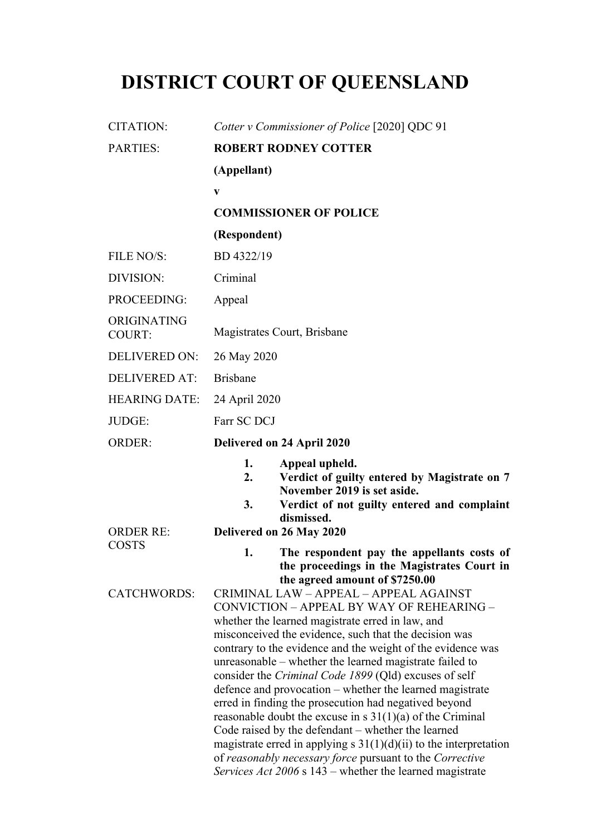# **DISTRICT COURT OF QUEENSLAND**

| <b>CITATION:</b>             | Cotter v Commissioner of Police [2020] QDC 91                                                                                                                                                                                                                                                                                                                                                                                                                                                                                                                                                                                                                                                                                                                                                                                                                                                                 |  |  |
|------------------------------|---------------------------------------------------------------------------------------------------------------------------------------------------------------------------------------------------------------------------------------------------------------------------------------------------------------------------------------------------------------------------------------------------------------------------------------------------------------------------------------------------------------------------------------------------------------------------------------------------------------------------------------------------------------------------------------------------------------------------------------------------------------------------------------------------------------------------------------------------------------------------------------------------------------|--|--|
| <b>PARTIES:</b>              | <b>ROBERT RODNEY COTTER</b>                                                                                                                                                                                                                                                                                                                                                                                                                                                                                                                                                                                                                                                                                                                                                                                                                                                                                   |  |  |
|                              | (Appellant)                                                                                                                                                                                                                                                                                                                                                                                                                                                                                                                                                                                                                                                                                                                                                                                                                                                                                                   |  |  |
|                              | $\mathbf{V}$                                                                                                                                                                                                                                                                                                                                                                                                                                                                                                                                                                                                                                                                                                                                                                                                                                                                                                  |  |  |
|                              | <b>COMMISSIONER OF POLICE</b>                                                                                                                                                                                                                                                                                                                                                                                                                                                                                                                                                                                                                                                                                                                                                                                                                                                                                 |  |  |
|                              | (Respondent)                                                                                                                                                                                                                                                                                                                                                                                                                                                                                                                                                                                                                                                                                                                                                                                                                                                                                                  |  |  |
| FILE NO/S:                   | BD 4322/19                                                                                                                                                                                                                                                                                                                                                                                                                                                                                                                                                                                                                                                                                                                                                                                                                                                                                                    |  |  |
| DIVISION:                    | Criminal                                                                                                                                                                                                                                                                                                                                                                                                                                                                                                                                                                                                                                                                                                                                                                                                                                                                                                      |  |  |
| PROCEEDING:                  | Appeal                                                                                                                                                                                                                                                                                                                                                                                                                                                                                                                                                                                                                                                                                                                                                                                                                                                                                                        |  |  |
| ORIGINATING<br><b>COURT:</b> | Magistrates Court, Brisbane                                                                                                                                                                                                                                                                                                                                                                                                                                                                                                                                                                                                                                                                                                                                                                                                                                                                                   |  |  |
| <b>DELIVERED ON:</b>         | 26 May 2020                                                                                                                                                                                                                                                                                                                                                                                                                                                                                                                                                                                                                                                                                                                                                                                                                                                                                                   |  |  |
| <b>DELIVERED AT:</b>         | <b>Brisbane</b>                                                                                                                                                                                                                                                                                                                                                                                                                                                                                                                                                                                                                                                                                                                                                                                                                                                                                               |  |  |
| <b>HEARING DATE:</b>         | 24 April 2020                                                                                                                                                                                                                                                                                                                                                                                                                                                                                                                                                                                                                                                                                                                                                                                                                                                                                                 |  |  |
| JUDGE:                       | Farr SC DCJ                                                                                                                                                                                                                                                                                                                                                                                                                                                                                                                                                                                                                                                                                                                                                                                                                                                                                                   |  |  |
| <b>ORDER:</b>                | Delivered on 24 April 2020                                                                                                                                                                                                                                                                                                                                                                                                                                                                                                                                                                                                                                                                                                                                                                                                                                                                                    |  |  |
| <b>ORDER RE:</b>             | 1.<br>Appeal upheld.<br>2.<br>Verdict of guilty entered by Magistrate on 7<br>November 2019 is set aside.<br>3.<br>Verdict of not guilty entered and complaint<br>dismissed.<br>Delivered on 26 May 2020                                                                                                                                                                                                                                                                                                                                                                                                                                                                                                                                                                                                                                                                                                      |  |  |
| <b>COSTS</b>                 | 1.<br>The respondent pay the appellants costs of                                                                                                                                                                                                                                                                                                                                                                                                                                                                                                                                                                                                                                                                                                                                                                                                                                                              |  |  |
| <b>CATCHWORDS:</b>           | the proceedings in the Magistrates Court in<br>the agreed amount of \$7250.00<br>CRIMINAL LAW - APPEAL - APPEAL AGAINST<br>CONVICTION - APPEAL BY WAY OF REHEARING -<br>whether the learned magistrate erred in law, and<br>misconceived the evidence, such that the decision was<br>contrary to the evidence and the weight of the evidence was<br>unreasonable – whether the learned magistrate failed to<br>consider the Criminal Code 1899 (Qld) excuses of self<br>defence and provocation – whether the learned magistrate<br>erred in finding the prosecution had negatived beyond<br>reasonable doubt the excuse in s $31(1)(a)$ of the Criminal<br>Code raised by the defendant – whether the learned<br>magistrate erred in applying s $31(1)(d)(ii)$ to the interpretation<br>of reasonably necessary force pursuant to the Corrective<br>Services Act 2006 s 143 – whether the learned magistrate |  |  |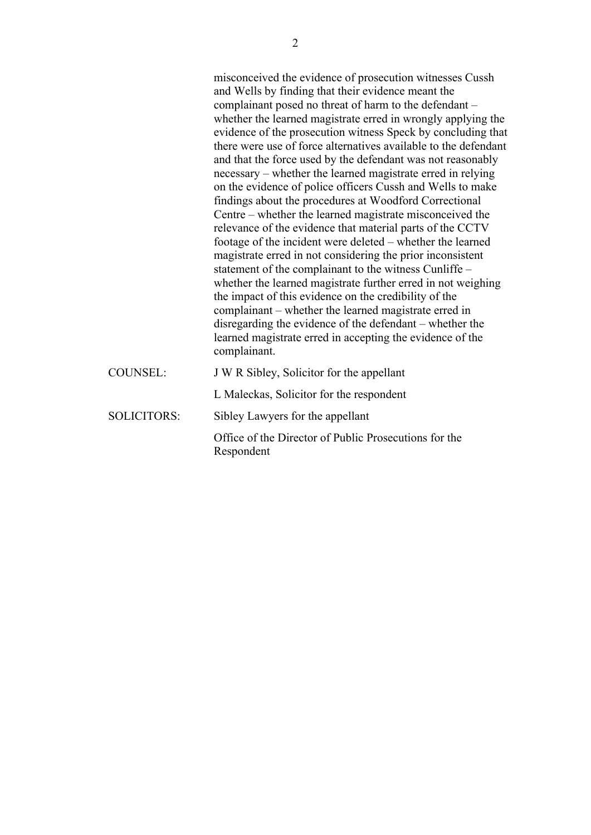misconceived the evidence of prosecution witnesses Cussh and Wells by finding that their evidence meant the complainant posed no threat of harm to the defendant – whether the learned magistrate erred in wrongly applying the evidence of the prosecution witness Speck by concluding that there were use of force alternatives available to the defendant and that the force used by the defendant was not reasonably necessary – whether the learned magistrate erred in relying on the evidence of police officers Cussh and Wells to make findings about the procedures at Woodford Correctional Centre – whether the learned magistrate misconceived the relevance of the evidence that material parts of the CCTV footage of the incident were deleted – whether the learned magistrate erred in not considering the prior inconsistent statement of the complainant to the witness Cunliffe – whether the learned magistrate further erred in not weighing the impact of this evidence on the credibility of the complainant – whether the learned magistrate erred in disregarding the evidence of the defendant – whether the learned magistrate erred in accepting the evidence of the complainant.

| <b>COUNSEL:</b>    | J W R Sibley, Solicitor for the appellant                           |
|--------------------|---------------------------------------------------------------------|
|                    | L Maleckas, Solicitor for the respondent                            |
| <b>SOLICITORS:</b> | Sibley Lawyers for the appellant                                    |
|                    | Office of the Director of Public Prosecutions for the<br>Respondent |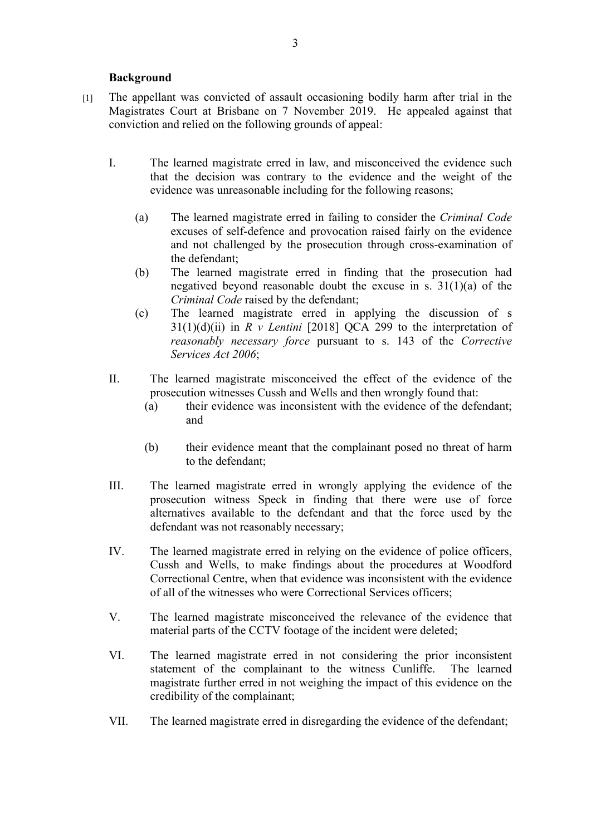#### **Background**

- [1] The appellant was convicted of assault occasioning bodily harm after trial in the Magistrates Court at Brisbane on 7 November 2019. He appealed against that conviction and relied on the following grounds of appeal:
	- I. The learned magistrate erred in law, and misconceived the evidence such that the decision was contrary to the evidence and the weight of the evidence was unreasonable including for the following reasons;
		- (a) The learned magistrate erred in failing to consider the *Criminal Code* excuses of self-defence and provocation raised fairly on the evidence and not challenged by the prosecution through cross-examination of the defendant;
		- (b) The learned magistrate erred in finding that the prosecution had negatived beyond reasonable doubt the excuse in s. 31(1)(a) of the *Criminal Code* raised by the defendant;
		- (c) The learned magistrate erred in applying the discussion of s  $31(1)(d)(ii)$  in *R v Lentini* [2018] QCA 299 to the interpretation of *reasonably necessary force* pursuant to s. 143 of the *Corrective Services Act 2006*;
	- II. The learned magistrate misconceived the effect of the evidence of the prosecution witnesses Cussh and Wells and then wrongly found that:
		- (a) their evidence was inconsistent with the evidence of the defendant; and
		- (b) their evidence meant that the complainant posed no threat of harm to the defendant;
	- III. The learned magistrate erred in wrongly applying the evidence of the prosecution witness Speck in finding that there were use of force alternatives available to the defendant and that the force used by the defendant was not reasonably necessary;
	- IV. The learned magistrate erred in relying on the evidence of police officers, Cussh and Wells, to make findings about the procedures at Woodford Correctional Centre, when that evidence was inconsistent with the evidence of all of the witnesses who were Correctional Services officers;
	- V. The learned magistrate misconceived the relevance of the evidence that material parts of the CCTV footage of the incident were deleted;
	- VI. The learned magistrate erred in not considering the prior inconsistent statement of the complainant to the witness Cunliffe. The learned magistrate further erred in not weighing the impact of this evidence on the credibility of the complainant;
	- VII. The learned magistrate erred in disregarding the evidence of the defendant;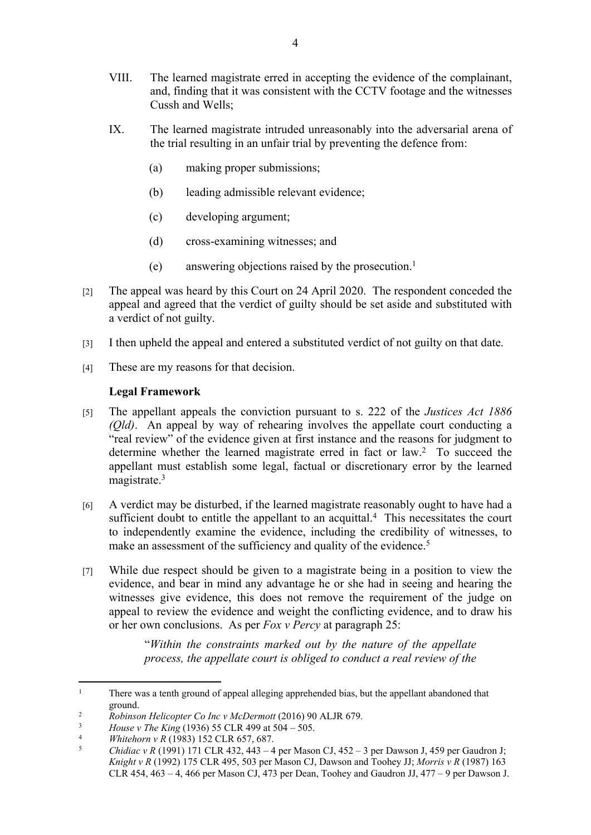- VIII. The learned magistrate erred in accepting the evidence of the complainant, and, finding that it was consistent with the CCTV footage and the witnesses Cussh and Wells;
- IX. The learned magistrate intruded unreasonably into the adversarial arena of the trial resulting in an unfair trial by preventing the defence from:
	- (a) making proper submissions;
	- (b) leading admissible relevant evidence;
	- (c) developing argument;
	- (d) cross-examining witnesses; and
	- (e) answering objections raised by the prosecution.<sup>1</sup>
- [2] The appeal was heard by this Court on 24 April 2020. The respondent conceded the appeal and agreed that the verdict of guilty should be set aside and substituted with a verdict of not guilty.
- [3] I then upheld the appeal and entered a substituted verdict of not guilty on that date.
- [4] These are my reasons for that decision.

# **Legal Framework**

- [5] The appellant appeals the conviction pursuant to s. 222 of the *Justices Act 1886 (Qld)*. An appeal by way of rehearing involves the appellate court conducting a "real review" of the evidence given at first instance and the reasons for judgment to determine whether the learned magistrate erred in fact or law.<sup>2</sup> To succeed the appellant must establish some legal, factual or discretionary error by the learned magistrate.<sup>3</sup>
- [6] A verdict may be disturbed, if the learned magistrate reasonably ought to have had a sufficient doubt to entitle the appellant to an acquittal.<sup>4</sup> This necessitates the court to independently examine the evidence, including the credibility of witnesses, to make an assessment of the sufficiency and quality of the evidence.<sup>5</sup>
- [7] While due respect should be given to a magistrate being in a position to view the evidence, and bear in mind any advantage he or she had in seeing and hearing the witnesses give evidence, this does not remove the requirement of the judge on appeal to review the evidence and weight the conflicting evidence, and to draw his or her own conclusions. As per *Fox v Percy* at paragraph 25:

"*Within the constraints marked out by the nature of the appellate process, the appellate court is obliged to conduct a real review of the* 

<sup>1</sup> There was a tenth ground of appeal alleging apprehended bias, but the appellant abandoned that ground.

<sup>&</sup>lt;sup>2</sup> *Robinson Helicopter Co Inc v McDermott* (2016) 90 ALJR 679.

 $\frac{3}{4}$  *House v The King* (1936) 55 CLR 499 at 504 – 505.

<sup>4</sup> *Whitehorn v R* (1983) 152 CLR 657, 687.

<sup>5</sup> *Chidiac v R* (1991) 171 CLR 432, 443 – 4 per Mason CJ, 452 – 3 per Dawson J, 459 per Gaudron J; *Knight v R* (1992) 175 CLR 495, 503 per Mason CJ, Dawson and Toohey JJ; *Morris v R* (1987) 163 CLR 454, 463 – 4, 466 per Mason CJ, 473 per Dean, Toohey and Gaudron JJ, 477 – 9 per Dawson J.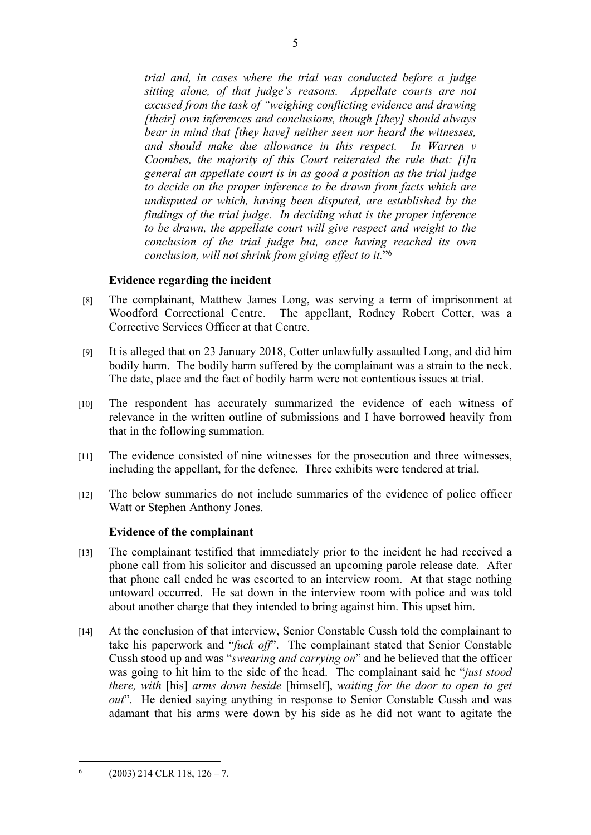*trial and, in cases where the trial was conducted before a judge sitting alone, of that judge's reasons. Appellate courts are not excused from the task of "weighing conflicting evidence and drawing [their] own inferences and conclusions, though [they] should always bear in mind that [they have] neither seen nor heard the witnesses, and should make due allowance in this respect. In Warren v Coombes, the majority of this Court reiterated the rule that: [i]n general an appellate court is in as good a position as the trial judge to decide on the proper inference to be drawn from facts which are undisputed or which, having been disputed, are established by the findings of the trial judge. In deciding what is the proper inference*  to be drawn, the appellate court will give respect and weight to the *conclusion of the trial judge but, once having reached its own conclusion, will not shrink from giving effect to it.*" 6

#### **Evidence regarding the incident**

- [8] The complainant, Matthew James Long, was serving a term of imprisonment at Woodford Correctional Centre. The appellant, Rodney Robert Cotter, was a Corrective Services Officer at that Centre.
- [9] It is alleged that on 23 January 2018, Cotter unlawfully assaulted Long, and did him bodily harm. The bodily harm suffered by the complainant was a strain to the neck. The date, place and the fact of bodily harm were not contentious issues at trial.
- [10] The respondent has accurately summarized the evidence of each witness of relevance in the written outline of submissions and I have borrowed heavily from that in the following summation.
- [11] The evidence consisted of nine witnesses for the prosecution and three witnesses, including the appellant, for the defence. Three exhibits were tendered at trial.
- [12] The below summaries do not include summaries of the evidence of police officer Watt or Stephen Anthony Jones.

#### **Evidence of the complainant**

- [13] The complainant testified that immediately prior to the incident he had received a phone call from his solicitor and discussed an upcoming parole release date. After that phone call ended he was escorted to an interview room. At that stage nothing untoward occurred. He sat down in the interview room with police and was told about another charge that they intended to bring against him. This upset him.
- [14] At the conclusion of that interview, Senior Constable Cussh told the complainant to take his paperwork and "*fuck off*". The complainant stated that Senior Constable Cussh stood up and was "*swearing and carrying on*" and he believed that the officer was going to hit him to the side of the head. The complainant said he "*just stood there, with* [his] *arms down beside* [himself], *waiting for the door to open to get out*". He denied saying anything in response to Senior Constable Cussh and was adamant that his arms were down by his side as he did not want to agitate the

<sup>6</sup> (2003) 214 CLR 118, 126 – 7.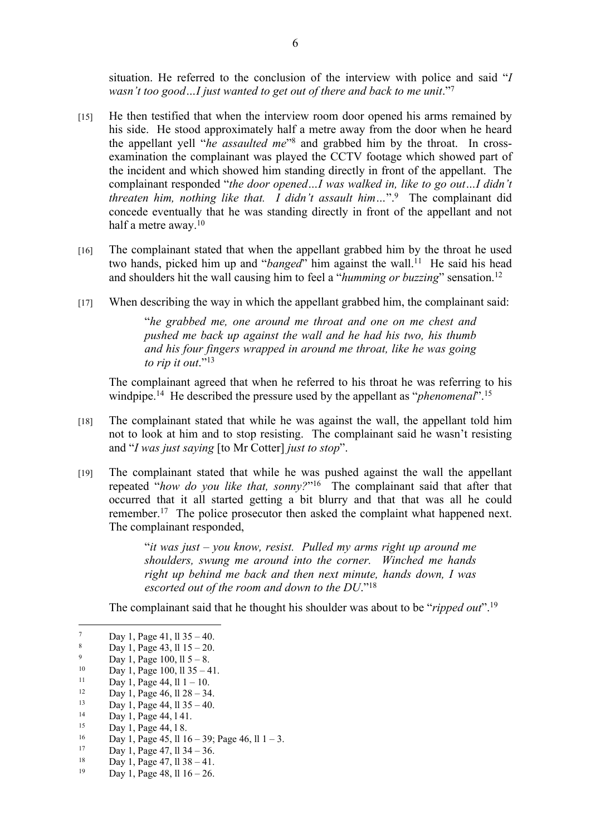situation. He referred to the conclusion of the interview with police and said "*I*  wasn't too good...I just wanted to get out of there and back to me unit."<sup>7</sup>

- [15] He then testified that when the interview room door opened his arms remained by his side. He stood approximately half a metre away from the door when he heard the appellant yell "*he assaulted me*" 8 and grabbed him by the throat. In crossexamination the complainant was played the CCTV footage which showed part of the incident and which showed him standing directly in front of the appellant. The complainant responded "*the door opened…I was walked in, like to go out…I didn't threaten him, nothing like that. I didn't assault him…*".<sup>9</sup> The complainant did concede eventually that he was standing directly in front of the appellant and not half a metre away.<sup>10</sup>
- [16] The complainant stated that when the appellant grabbed him by the throat he used two hands, picked him up and "*banged*" him against the wall.<sup>11</sup> He said his head and shoulders hit the wall causing him to feel a "*humming or buzzing*" sensation.<sup>12</sup>
- [17] When describing the way in which the appellant grabbed him, the complainant said:

"*he grabbed me, one around me throat and one on me chest and pushed me back up against the wall and he had his two, his thumb and his four fingers wrapped in around me throat, like he was going to rip it out*."<sup>13</sup>

The complainant agreed that when he referred to his throat he was referring to his windpipe.<sup>14</sup> He described the pressure used by the appellant as "*phenomenal*".<sup>15</sup>

- [18] The complainant stated that while he was against the wall, the appellant told him not to look at him and to stop resisting. The complainant said he wasn't resisting and "*I was just saying* [to Mr Cotter] *just to stop*".
- [19] The complainant stated that while he was pushed against the wall the appellant repeated "*how do you like that, sonny?*" <sup>16</sup> The complainant said that after that occurred that it all started getting a bit blurry and that that was all he could remember.<sup>17</sup> The police prosecutor then asked the complaint what happened next. The complainant responded,

"*it was just – you know, resist. Pulled my arms right up around me shoulders, swung me around into the corner. Winched me hands right up behind me back and then next minute, hands down, I was escorted out of the room and down to the DU*."<sup>18</sup>

The complainant said that he thought his shoulder was about to be "*ripped out*".<sup>19</sup>

<sup>10</sup> Day 1, Page 100, ll  $35 - 41$ .<br><sup>11</sup> Day 1, Page 44, <sup>11</sup> 1, 10

 $2^{12}$  Day 1, Page 46, ll  $28 - 34$ .

<sup>16</sup> Day 1, Page 45, ll 16 – 39; Page 46, ll 1 – 3.<br><sup>17</sup> Day 1, Page 47, ll 34, 36

- <sup>18</sup> Day 1, Page 47, 11 38 41.<br><sup>19</sup> Day 1, Page 48, 11 16, 26
- Day 1, Page 48, ll  $16 26$ .

<sup>7</sup> Day 1, Page 41, ll 35 – 40.

<sup>8</sup> Day 1, Page 43, ll 15 – 20.

<sup>9</sup>  $\frac{9}{10}$  Day 1, Page 100, ll 5 – 8.

 $11$  Day 1, Page 44, ll  $1 - 10$ .<br> $12$  Day 1, Page 46, 11.28, 24

 $2^{13}$  Day 1, Page 44, 11 35 – 40.

 $14$  Day 1, Page 44, 141.

<sup>15</sup> Day 1, Page 44, 18.

 $17$  Day 1, Page 47, 11 34 – 36.<br>  $18$  Day 1, Page 47, 11 38 – 41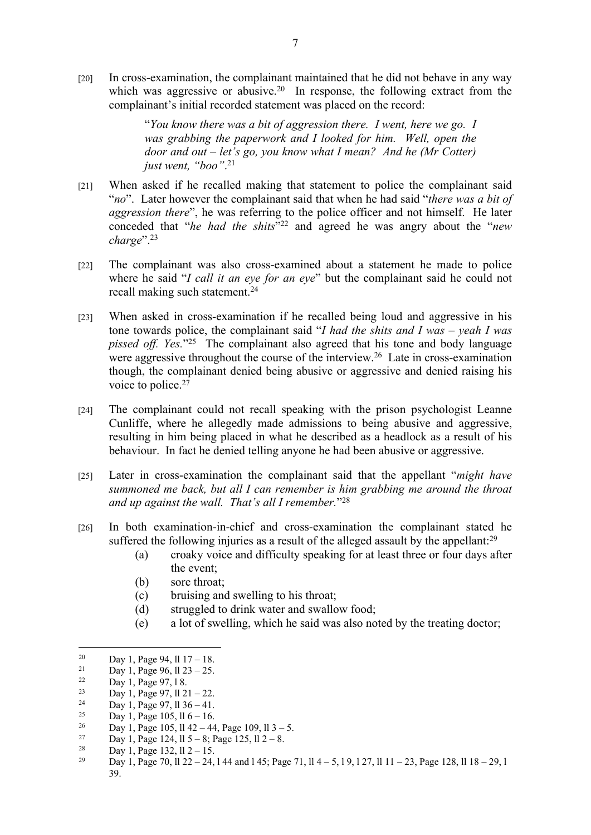[20] In cross-examination, the complainant maintained that he did not behave in any way which was aggressive or abusive.<sup>20</sup> In response, the following extract from the complainant's initial recorded statement was placed on the record:

> "*You know there was a bit of aggression there. I went, here we go. I was grabbing the paperwork and I looked for him. Well, open the door and out – let's go, you know what I mean? And he (Mr Cotter) just went, "boo"*. 21

- [21] When asked if he recalled making that statement to police the complainant said "*no*". Later however the complainant said that when he had said "*there was a bit of aggression there*", he was referring to the police officer and not himself. He later conceded that "*he had the shits*" <sup>22</sup> and agreed he was angry about the "*new charge*".<sup>23</sup>
- [22] The complainant was also cross-examined about a statement he made to police where he said "*I call it an eye for an eye*" but the complainant said he could not recall making such statement.<sup>24</sup>
- [23] When asked in cross-examination if he recalled being loud and aggressive in his tone towards police, the complainant said "*I had the shits and I was – yeah I was pissed off. Yes.*" <sup>25</sup> The complainant also agreed that his tone and body language were aggressive throughout the course of the interview.<sup>26</sup> Late in cross-examination though, the complainant denied being abusive or aggressive and denied raising his voice to police.<sup>27</sup>
- [24] The complainant could not recall speaking with the prison psychologist Leanne Cunliffe, where he allegedly made admissions to being abusive and aggressive, resulting in him being placed in what he described as a headlock as a result of his behaviour. In fact he denied telling anyone he had been abusive or aggressive.
- [25] Later in cross-examination the complainant said that the appellant "*might have summoned me back, but all I can remember is him grabbing me around the throat and up against the wall. That's all I remember.*" 28
- [26] In both examination-in-chief and cross-examination the complainant stated he suffered the following injuries as a result of the alleged assault by the appellant:<sup>29</sup>
	- (a) croaky voice and difficulty speaking for at least three or four days after the event;
	- (b) sore throat;
	- (c) bruising and swelling to his throat;
	- (d) struggled to drink water and swallow food;
	- (e) a lot of swelling, which he said was also noted by the treating doctor;

- <sup>23</sup> Day 1, Page 97, ll 21 22.
- <sup>24</sup> Day 1, Page 97, ll  $36 41$ .
- <sup>25</sup> Day 1, Page 105, ll 6 16.<br><sup>26</sup> Day 1, Page 105, ll 42, 44
- <sup>26</sup> Day 1, Page 105, ll 42 44, Page 109, ll 3 5.<br><sup>27</sup> Day 1, Page 124, ll 5, st Page 125, ll 2, s
- <sup>27</sup> Day 1, Page 124, ll 5 8; Page 125, ll 2 8.<br><sup>28</sup> Day 1, Page 122, ll 2, 15
- <sup>28</sup> Day 1, Page 132, ll 2 15.<br><sup>29</sup> Day 1, Page 70, ll 22, 24.
- <sup>29</sup> Day 1, Page 70, ll 22 24, l 44 and l 45; Page 71, ll 4 5, l 9, l 27, ll 11 23, Page 128, ll 18 29, l 39.

<sup>&</sup>lt;sup>20</sup> Day 1, Page 94, ll  $17 - 18$ .<br><sup>21</sup> Day 1, Page 96, ll 22, 25

<sup>&</sup>lt;sup>21</sup> Day 1, Page 96, ll  $23 - 25$ .<br><sup>22</sup> Day 1, Page 97, 1.8

 $22$  Day 1, Page 97, 18.<br>  $23$  Day 1, Page 97, 11.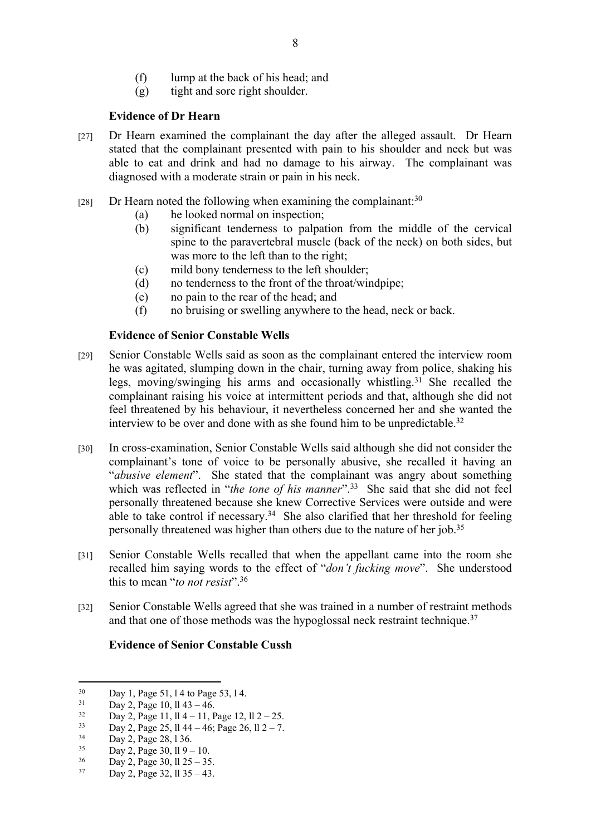- (f) lump at the back of his head; and
- (g) tight and sore right shoulder.

## **Evidence of Dr Hearn**

- [27] Dr Hearn examined the complainant the day after the alleged assault. Dr Hearn stated that the complainant presented with pain to his shoulder and neck but was able to eat and drink and had no damage to his airway. The complainant was diagnosed with a moderate strain or pain in his neck.
- [28] Dr Hearn noted the following when examining the complainant:  $30$ 
	- (a) he looked normal on inspection;
	- (b) significant tenderness to palpation from the middle of the cervical spine to the paravertebral muscle (back of the neck) on both sides, but was more to the left than to the right;
	- (c) mild bony tenderness to the left shoulder;
	- (d) no tenderness to the front of the throat/windpipe;
	- (e) no pain to the rear of the head; and
	- (f) no bruising or swelling anywhere to the head, neck or back.

## **Evidence of Senior Constable Wells**

- [29] Senior Constable Wells said as soon as the complainant entered the interview room he was agitated, slumping down in the chair, turning away from police, shaking his legs, moving/swinging his arms and occasionally whistling.<sup>31</sup> She recalled the complainant raising his voice at intermittent periods and that, although she did not feel threatened by his behaviour, it nevertheless concerned her and she wanted the interview to be over and done with as she found him to be unpredictable.<sup>32</sup>
- [30] In cross-examination, Senior Constable Wells said although she did not consider the complainant's tone of voice to be personally abusive, she recalled it having an "*abusive element*". She stated that the complainant was angry about something which was reflected in "*the tone of his manner*".<sup>33</sup> She said that she did not feel personally threatened because she knew Corrective Services were outside and were able to take control if necessary.<sup>34</sup> She also clarified that her threshold for feeling personally threatened was higher than others due to the nature of her job.<sup>35</sup>
- [31] Senior Constable Wells recalled that when the appellant came into the room she recalled him saying words to the effect of "*don't fucking move*". She understood this to mean "*to not resist*".<sup>36</sup>
- [32] Senior Constable Wells agreed that she was trained in a number of restraint methods and that one of those methods was the hypoglossal neck restraint technique.<sup>37</sup>

#### **Evidence of Senior Constable Cussh**

 $30$  Day 1, Page 51, 14 to Page 53, 14.

 $31$  Day 2, Page 10, ll 43 – 46.

 $3<sup>32</sup>$  Day 2, Page 11, ll 4 – 11, Page 12, ll 2 – 25.

 $2^{33}$  Day 2, Page 25, 11 44 – 46; Page 26, 11 2 – 7.

 $34$  Day 2, Page 28, 136.

 $35$  Day 2, Page 30, ll 9 – 10.<br> $36$  Day 2, Page 30, ll 25, 25

 $36$  Day 2, Page 30, ll 25 – 35.<br> $37$  Day 2, Page 32, 11.35 – 43.

Day 2, Page 32, ll  $35 - 43$ .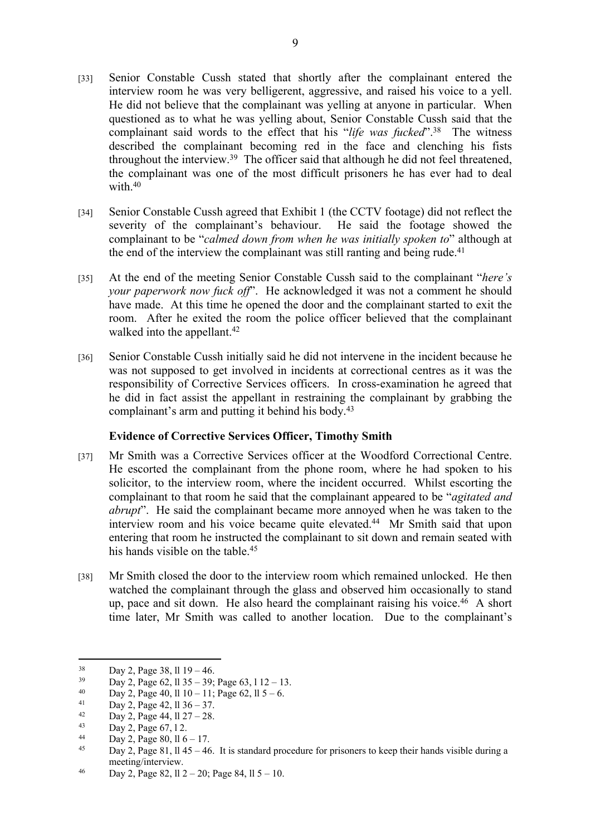- [33] Senior Constable Cussh stated that shortly after the complainant entered the interview room he was very belligerent, aggressive, and raised his voice to a yell. He did not believe that the complainant was yelling at anyone in particular. When questioned as to what he was yelling about, Senior Constable Cussh said that the complainant said words to the effect that his "*life was fucked*".<sup>38</sup> The witness described the complainant becoming red in the face and clenching his fists throughout the interview.<sup>39</sup> The officer said that although he did not feel threatened, the complainant was one of the most difficult prisoners he has ever had to deal with  $40$
- [34] Senior Constable Cussh agreed that Exhibit 1 (the CCTV footage) did not reflect the severity of the complainant's behaviour. He said the footage showed the complainant to be "*calmed down from when he was initially spoken to*" although at the end of the interview the complainant was still ranting and being rude.<sup>41</sup>
- [35] At the end of the meeting Senior Constable Cussh said to the complainant "*here's your paperwork now fuck off*". He acknowledged it was not a comment he should have made. At this time he opened the door and the complainant started to exit the room. After he exited the room the police officer believed that the complainant walked into the appellant.<sup>42</sup>
- [36] Senior Constable Cussh initially said he did not intervene in the incident because he was not supposed to get involved in incidents at correctional centres as it was the responsibility of Corrective Services officers. In cross-examination he agreed that he did in fact assist the appellant in restraining the complainant by grabbing the complainant's arm and putting it behind his body.<sup>43</sup>

#### **Evidence of Corrective Services Officer, Timothy Smith**

- [37] Mr Smith was a Corrective Services officer at the Woodford Correctional Centre. He escorted the complainant from the phone room, where he had spoken to his solicitor, to the interview room, where the incident occurred. Whilst escorting the complainant to that room he said that the complainant appeared to be "*agitated and abrupt*". He said the complainant became more annoyed when he was taken to the interview room and his voice became quite elevated.<sup>44</sup> Mr Smith said that upon entering that room he instructed the complainant to sit down and remain seated with his hands visible on the table 45
- [38] Mr Smith closed the door to the interview room which remained unlocked. He then watched the complainant through the glass and observed him occasionally to stand up, pace and sit down. He also heard the complainant raising his voice.<sup>46</sup> A short time later, Mr Smith was called to another location. Due to the complainant's

 $38$  Day 2, Page 38, ll 19 – 46.

 $39$  Day 2, Page 62, ll  $35 - 39$ ; Page 63, l  $12 - 13$ .<br>  $39$  Day 2, Page 40, ll  $10$ ,  $11$ ; Page 62, ll 5, 6

<sup>40</sup> Day 2, Page 40, ll  $10 - 11$ ; Page 62, ll  $5 - 6$ .

<sup>&</sup>lt;sup>41</sup> Day 2, Page 42, ll  $36 - 37$ .<br><sup>42</sup> Day 2, Page 44, 11.27, 28

<sup>&</sup>lt;sup>42</sup> Day 2, Page 44,  $11\ 27 - 28$ .<br><sup>43</sup> Day 2, Page 67, 12

 $2, Page 67, 12.$ 

 $\begin{array}{cc}\n 44 & \text{Day 2, Page 80, ll } 6-17. \\
 \hline\n 45 & \text{Day 2, Page 81, ll } 45 & 46\n \end{array}$ 

Day 2, Page 81, ll 45 – 46. It is standard procedure for prisoners to keep their hands visible during a meeting/interview.

<sup>46</sup> Day 2, Page 82, 11  $2 - 20$ ; Page 84, 11  $5 - 10$ .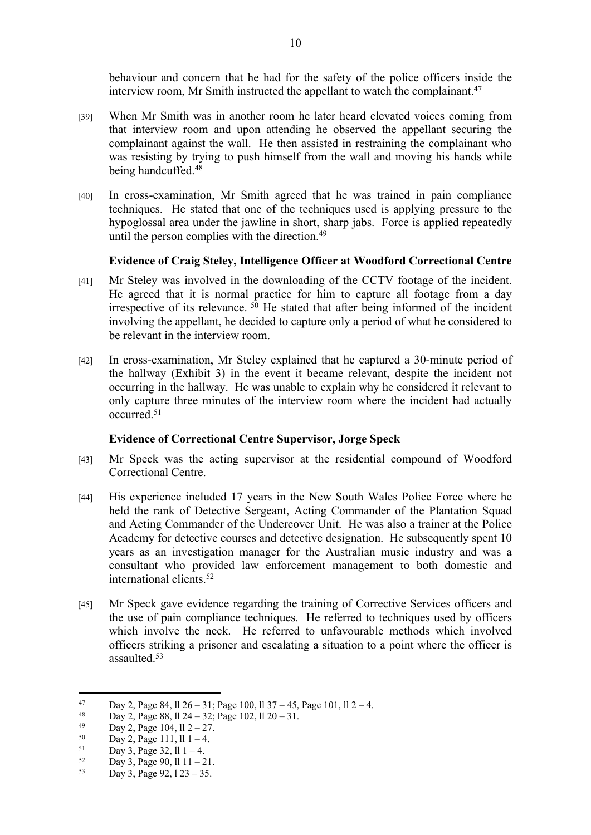behaviour and concern that he had for the safety of the police officers inside the interview room, Mr Smith instructed the appellant to watch the complainant.<sup>47</sup>

- [39] When Mr Smith was in another room he later heard elevated voices coming from that interview room and upon attending he observed the appellant securing the complainant against the wall. He then assisted in restraining the complainant who was resisting by trying to push himself from the wall and moving his hands while being handcuffed.<sup>48</sup>
- [40] In cross-examination, Mr Smith agreed that he was trained in pain compliance techniques. He stated that one of the techniques used is applying pressure to the hypoglossal area under the jawline in short, sharp jabs. Force is applied repeatedly until the person complies with the direction.<sup>49</sup>

#### **Evidence of Craig Steley, Intelligence Officer at Woodford Correctional Centre**

- [41] Mr Steley was involved in the downloading of the CCTV footage of the incident. He agreed that it is normal practice for him to capture all footage from a day irrespective of its relevance.<sup>50</sup> He stated that after being informed of the incident involving the appellant, he decided to capture only a period of what he considered to be relevant in the interview room.
- [42] In cross-examination, Mr Steley explained that he captured a 30-minute period of the hallway (Exhibit 3) in the event it became relevant, despite the incident not occurring in the hallway. He was unable to explain why he considered it relevant to only capture three minutes of the interview room where the incident had actually occurred.<sup>51</sup>

#### **Evidence of Correctional Centre Supervisor, Jorge Speck**

- [43] Mr Speck was the acting supervisor at the residential compound of Woodford Correctional Centre.
- [44] His experience included 17 years in the New South Wales Police Force where he held the rank of Detective Sergeant, Acting Commander of the Plantation Squad and Acting Commander of the Undercover Unit. He was also a trainer at the Police Academy for detective courses and detective designation. He subsequently spent 10 years as an investigation manager for the Australian music industry and was a consultant who provided law enforcement management to both domestic and international clients.<sup>52</sup>
- [45] Mr Speck gave evidence regarding the training of Corrective Services officers and the use of pain compliance techniques. He referred to techniques used by officers which involve the neck. He referred to unfavourable methods which involved officers striking a prisoner and escalating a situation to a point where the officer is assaulted.<sup>53</sup>

<sup>47</sup> Day 2, Page 84, ll 26 – 31; Page 100, ll 37 – 45, Page 101, ll 2 – 4.

<sup>&</sup>lt;sup>48</sup> Day 2, Page 88, ll 24 – 32; Page 102, ll 20 – 31.

 $\frac{49}{50}$  Day 2, Page 104, ll 2 – 27.

 $50$  Day 2, Page 111, ll 1 – 4.<br> $51$  Day 3, Page 32, 11, 1

 $51$  Day 3, Page 32, ll 1 – 4.<br> $52$  Day 3, Page 90, 11, 11, 2

 $52 \qquad \text{Day 3, Page 90, } \frac{1111 - 21}{22}$ 

Day 3, Page  $92, 123 - 35$ .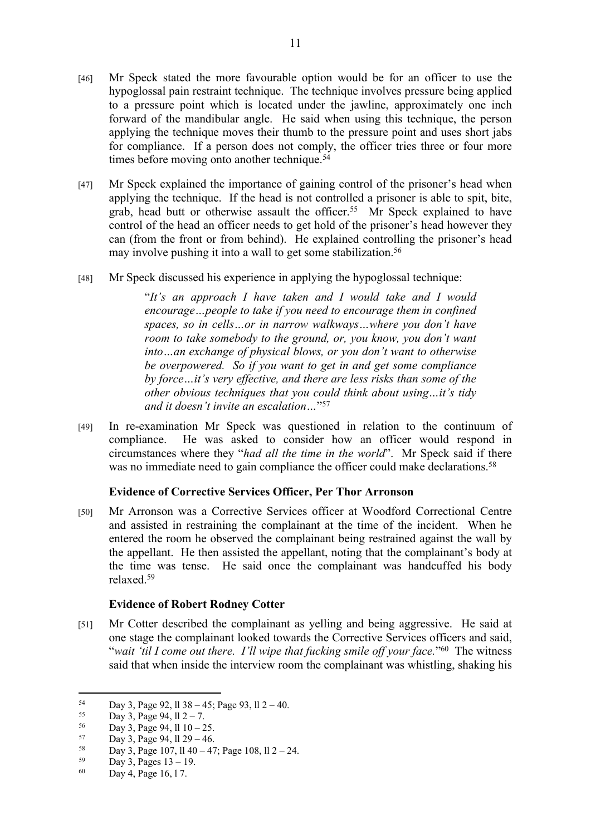- [46] Mr Speck stated the more favourable option would be for an officer to use the hypoglossal pain restraint technique. The technique involves pressure being applied to a pressure point which is located under the jawline, approximately one inch forward of the mandibular angle. He said when using this technique, the person applying the technique moves their thumb to the pressure point and uses short jabs for compliance. If a person does not comply, the officer tries three or four more times before moving onto another technique.<sup>54</sup>
- [47] Mr Speck explained the importance of gaining control of the prisoner's head when applying the technique. If the head is not controlled a prisoner is able to spit, bite, grab, head butt or otherwise assault the officer.<sup>55</sup> Mr Speck explained to have control of the head an officer needs to get hold of the prisoner's head however they can (from the front or from behind). He explained controlling the prisoner's head may involve pushing it into a wall to get some stabilization.<sup>56</sup>
- [48] Mr Speck discussed his experience in applying the hypoglossal technique:

"*It's an approach I have taken and I would take and I would encourage…people to take if you need to encourage them in confined spaces, so in cells…or in narrow walkways…where you don't have room to take somebody to the ground, or, you know, you don't want into…an exchange of physical blows, or you don't want to otherwise be overpowered. So if you want to get in and get some compliance by force…it's very effective, and there are less risks than some of the other obvious techniques that you could think about using…it's tidy and it doesn't invite an escalation…*" 57

[49] In re-examination Mr Speck was questioned in relation to the continuum of compliance. He was asked to consider how an officer would respond in circumstances where they "*had all the time in the world*". Mr Speck said if there was no immediate need to gain compliance the officer could make declarations.<sup>58</sup>

# **Evidence of Corrective Services Officer, Per Thor Arronson**

[50] Mr Arronson was a Corrective Services officer at Woodford Correctional Centre and assisted in restraining the complainant at the time of the incident. When he entered the room he observed the complainant being restrained against the wall by the appellant. He then assisted the appellant, noting that the complainant's body at the time was tense. He said once the complainant was handcuffed his body relaxed.<sup>59</sup>

#### **Evidence of Robert Rodney Cotter**

[51] Mr Cotter described the complainant as yelling and being aggressive. He said at one stage the complainant looked towards the Corrective Services officers and said, "*wait 'til I come out there. I'll wipe that fucking smile off your face.*" <sup>60</sup> The witness said that when inside the interview room the complainant was whistling, shaking his

 $54$  Day 3, Page 92, ll 38 – 45; Page 93, ll 2 – 40.

Day 3, Page 94,  $11 \, 2 - 7$ .

 $56$  Day 3, Page 94, ll  $10 - 25$ .<br> $57$  Day 2, Page 04, 11.20, 46

 $57$  Day 3, Page 94, 11 29 – 46.<br> $58$  Day 3, Page 107, 11 40, 47

 $58$  Day 3, Page 107, ll 40 – 47; Page 108, ll 2 – 24.

 $59$  Day 3, Pages  $13 - 19$ .<br>  $50$  Day 4, Page 16, 17.

Day 4, Page 16, 17.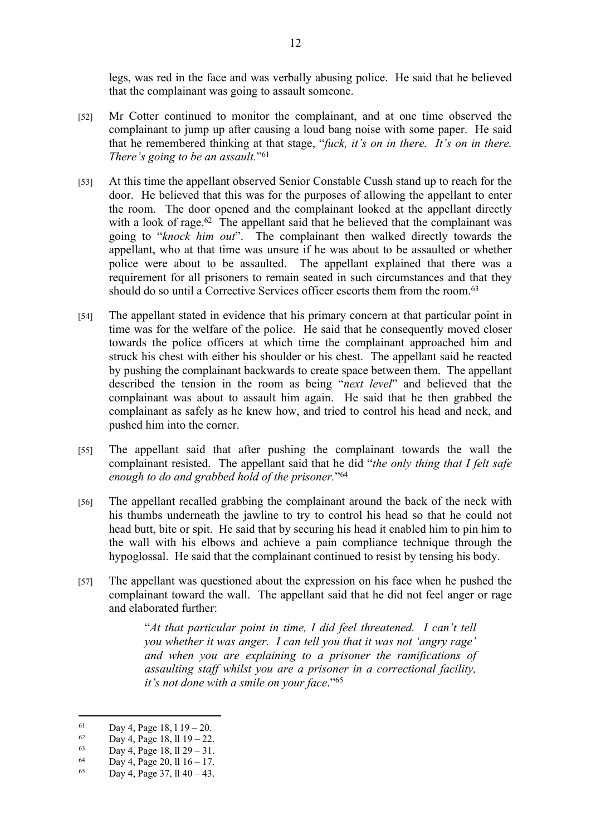legs, was red in the face and was verbally abusing police. He said that he believed that the complainant was going to assault someone.

- [52] Mr Cotter continued to monitor the complainant, and at one time observed the complainant to jump up after causing a loud bang noise with some paper. He said that he remembered thinking at that stage, "*fuck, it's on in there. It's on in there. There's going to be an assault.*" 61
- [53] At this time the appellant observed Senior Constable Cussh stand up to reach for the door. He believed that this was for the purposes of allowing the appellant to enter the room. The door opened and the complainant looked at the appellant directly with a look of rage.<sup>62</sup> The appellant said that he believed that the complainant was going to "*knock him out*". The complainant then walked directly towards the appellant, who at that time was unsure if he was about to be assaulted or whether police were about to be assaulted. The appellant explained that there was a requirement for all prisoners to remain seated in such circumstances and that they should do so until a Corrective Services officer escorts them from the room.<sup>63</sup>
- [54] The appellant stated in evidence that his primary concern at that particular point in time was for the welfare of the police. He said that he consequently moved closer towards the police officers at which time the complainant approached him and struck his chest with either his shoulder or his chest. The appellant said he reacted by pushing the complainant backwards to create space between them. The appellant described the tension in the room as being "*next level*" and believed that the complainant was about to assault him again. He said that he then grabbed the complainant as safely as he knew how, and tried to control his head and neck, and pushed him into the corner.
- [55] The appellant said that after pushing the complainant towards the wall the complainant resisted. The appellant said that he did "*the only thing that I felt safe enough to do and grabbed hold of the prisoner.*" 64
- [56] The appellant recalled grabbing the complainant around the back of the neck with his thumbs underneath the jawline to try to control his head so that he could not head butt, bite or spit. He said that by securing his head it enabled him to pin him to the wall with his elbows and achieve a pain compliance technique through the hypoglossal. He said that the complainant continued to resist by tensing his body.
- [57] The appellant was questioned about the expression on his face when he pushed the complainant toward the wall. The appellant said that he did not feel anger or rage and elaborated further:

"*At that particular point in time, I did feel threatened. I can't tell you whether it was anger. I can tell you that it was not 'angry rage' and when you are explaining to a prisoner the ramifications of assaulting staff whilst you are a prisoner in a correctional facility, it's not done with a smile on your face*."<sup>65</sup>

<sup>61</sup> Day 4, Page 18,  $119 - 20$ .

<sup>&</sup>lt;sup>62</sup> Day 4, Page 18, ll 19 – 22.

<sup>63</sup> Day 4, Page 18,  $\ln 29 - 31$ .<br>64 Day 4, Page 20,  $\ln 16 - 17$ 

 $^{64}$  Day 4, Page 20, ll 16 – 17.<br>  $^{65}$  Day 4, Page 27, 11.40, 42

Day 4, Page 37, ll  $40 - 43$ .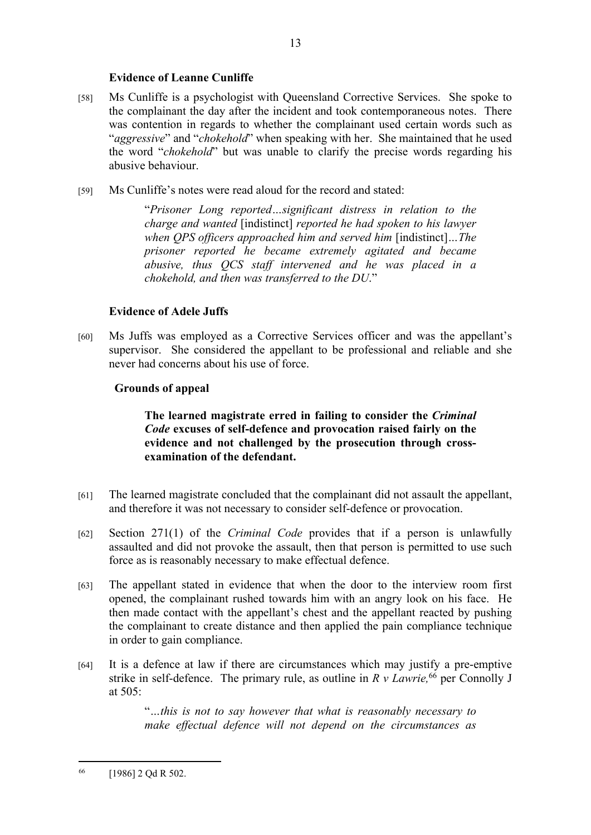## **Evidence of Leanne Cunliffe**

- [58] Ms Cunliffe is a psychologist with Queensland Corrective Services. She spoke to the complainant the day after the incident and took contemporaneous notes. There was contention in regards to whether the complainant used certain words such as "*aggressive*" and "*chokehold*" when speaking with her. She maintained that he used the word "*chokehold*" but was unable to clarify the precise words regarding his abusive behaviour.
- [59] Ms Cunliffe's notes were read aloud for the record and stated:

"*Prisoner Long reported…significant distress in relation to the charge and wanted* [indistinct] *reported he had spoken to his lawyer when QPS officers approached him and served him* [indistinct]*…The prisoner reported he became extremely agitated and became abusive, thus QCS staff intervened and he was placed in a chokehold, and then was transferred to the DU*."

# **Evidence of Adele Juffs**

[60] Ms Juffs was employed as a Corrective Services officer and was the appellant's supervisor. She considered the appellant to be professional and reliable and she never had concerns about his use of force.

## **Grounds of appeal**

## **The learned magistrate erred in failing to consider the** *Criminal Code* **excuses of self-defence and provocation raised fairly on the evidence and not challenged by the prosecution through crossexamination of the defendant.**

- [61] The learned magistrate concluded that the complainant did not assault the appellant, and therefore it was not necessary to consider self-defence or provocation.
- [62] Section 271(1) of the *Criminal Code* provides that if a person is unlawfully assaulted and did not provoke the assault, then that person is permitted to use such force as is reasonably necessary to make effectual defence.
- [63] The appellant stated in evidence that when the door to the interview room first opened, the complainant rushed towards him with an angry look on his face. He then made contact with the appellant's chest and the appellant reacted by pushing the complainant to create distance and then applied the pain compliance technique in order to gain compliance.
- [64] It is a defence at law if there are circumstances which may justify a pre-emptive strike in self-defence. The primary rule, as outline in *R v Lawrie,*<sup>66</sup> per Connolly J at 505:

"*…this is not to say however that what is reasonably necessary to make effectual defence will not depend on the circumstances as* 

<sup>66</sup> [1986] 2 Qd R 502.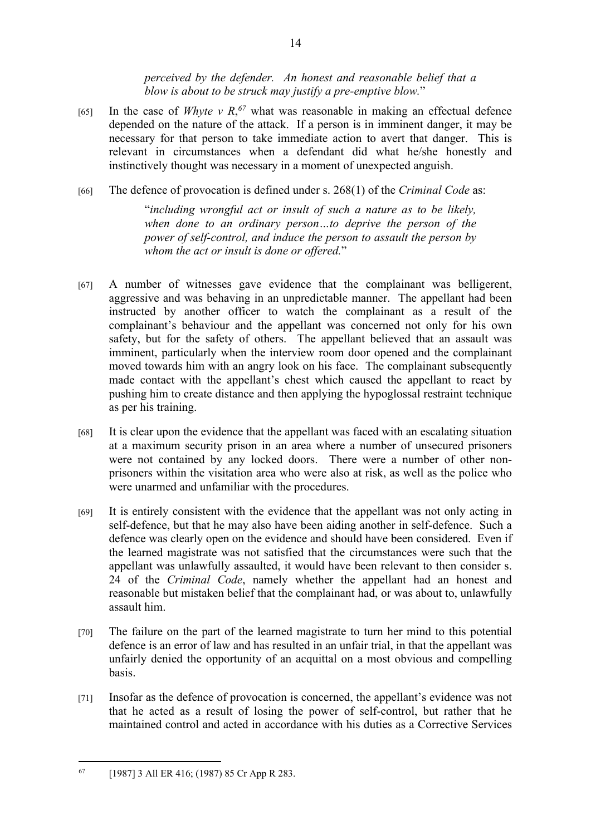*perceived by the defender. An honest and reasonable belief that a blow is about to be struck may justify a pre-emptive blow.*"

- [65] In the case of *Whyte v R*<sup> $67$ </sup> what was reasonable in making an effectual defence depended on the nature of the attack. If a person is in imminent danger, it may be necessary for that person to take immediate action to avert that danger. This is relevant in circumstances when a defendant did what he/she honestly and instinctively thought was necessary in a moment of unexpected anguish.
- [66] The defence of provocation is defined under s. 268(1) of the *Criminal Code* as:

"*including wrongful act or insult of such a nature as to be likely, when done to an ordinary person…to deprive the person of the power of self-control, and induce the person to assault the person by whom the act or insult is done or offered.*"

- [67] A number of witnesses gave evidence that the complainant was belligerent, aggressive and was behaving in an unpredictable manner. The appellant had been instructed by another officer to watch the complainant as a result of the complainant's behaviour and the appellant was concerned not only for his own safety, but for the safety of others. The appellant believed that an assault was imminent, particularly when the interview room door opened and the complainant moved towards him with an angry look on his face. The complainant subsequently made contact with the appellant's chest which caused the appellant to react by pushing him to create distance and then applying the hypoglossal restraint technique as per his training.
- [68] It is clear upon the evidence that the appellant was faced with an escalating situation at a maximum security prison in an area where a number of unsecured prisoners were not contained by any locked doors. There were a number of other nonprisoners within the visitation area who were also at risk, as well as the police who were unarmed and unfamiliar with the procedures.
- [69] It is entirely consistent with the evidence that the appellant was not only acting in self-defence, but that he may also have been aiding another in self-defence. Such a defence was clearly open on the evidence and should have been considered. Even if the learned magistrate was not satisfied that the circumstances were such that the appellant was unlawfully assaulted, it would have been relevant to then consider s. 24 of the *Criminal Code*, namely whether the appellant had an honest and reasonable but mistaken belief that the complainant had, or was about to, unlawfully assault him.
- [70] The failure on the part of the learned magistrate to turn her mind to this potential defence is an error of law and has resulted in an unfair trial, in that the appellant was unfairly denied the opportunity of an acquittal on a most obvious and compelling basis.
- [71] Insofar as the defence of provocation is concerned, the appellant's evidence was not that he acted as a result of losing the power of self-control, but rather that he maintained control and acted in accordance with his duties as a Corrective Services

<sup>67</sup> [1987] 3 All ER 416; (1987) 85 Cr App R 283.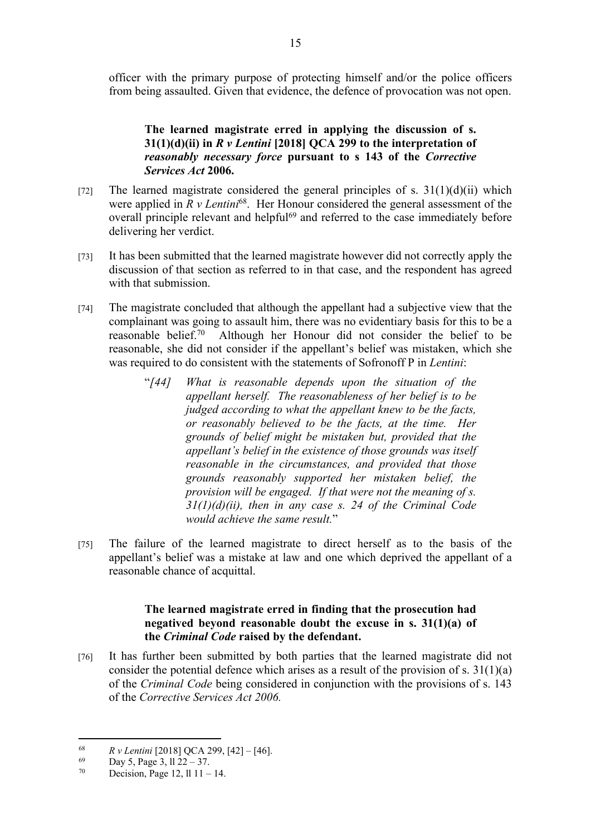officer with the primary purpose of protecting himself and/or the police officers from being assaulted. Given that evidence, the defence of provocation was not open.

# **The learned magistrate erred in applying the discussion of s. 31(1)(d)(ii) in** *R v Lentini* **[2018] QCA 299 to the interpretation of**  *reasonably necessary force* **pursuant to s 143 of the** *Corrective Services Act* **2006.**

- [72] The learned magistrate considered the general principles of s.  $31(1)(d)(ii)$  which were applied in *R v Lentini*<sup>68</sup>. Her Honour considered the general assessment of the overall principle relevant and helpful<sup>69</sup> and referred to the case immediately before delivering her verdict.
- [73] It has been submitted that the learned magistrate however did not correctly apply the discussion of that section as referred to in that case, and the respondent has agreed with that submission.
- [74] The magistrate concluded that although the appellant had a subjective view that the complainant was going to assault him, there was no evidentiary basis for this to be a reasonable belief.<sup>70</sup> Although her Honour did not consider the belief to be reasonable, she did not consider if the appellant's belief was mistaken, which she was required to do consistent with the statements of Sofronoff P in *Lentini*:
	- "*[44] What is reasonable depends upon the situation of the appellant herself. The reasonableness of her belief is to be judged according to what the appellant knew to be the facts, or reasonably believed to be the facts, at the time. Her grounds of belief might be mistaken but, provided that the appellant's belief in the existence of those grounds was itself reasonable in the circumstances, and provided that those grounds reasonably supported her mistaken belief, the provision will be engaged. If that were not the meaning of s. 31(1)(d)(ii), then in any case s. 24 of the Criminal Code would achieve the same result.*"
- [75] The failure of the learned magistrate to direct herself as to the basis of the appellant's belief was a mistake at law and one which deprived the appellant of a reasonable chance of acquittal.

## **The learned magistrate erred in finding that the prosecution had negatived beyond reasonable doubt the excuse in s. 31(1)(a) of the** *Criminal Code* **raised by the defendant.**

[76] It has further been submitted by both parties that the learned magistrate did not consider the potential defence which arises as a result of the provision of s. 31(1)(a) of the *Criminal Code* being considered in conjunction with the provisions of s. 143 of the *Corrective Services Act 2006.* 

<sup>68</sup> *R v Lentini* [2018] QCA 299, [42] – [46].

 $^{69}$  Day 5, Page 3, ll 22 – 37.<br>
Decision Page 12, ll 11

Decision, Page 12, ll  $11 - 14$ .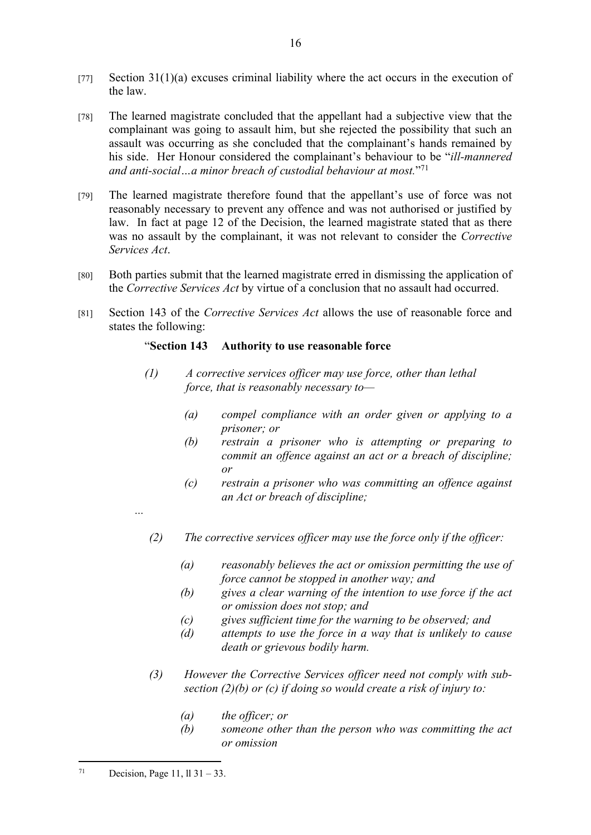- [77] Section 31(1)(a) excuses criminal liability where the act occurs in the execution of the law.
- [78] The learned magistrate concluded that the appellant had a subjective view that the complainant was going to assault him, but she rejected the possibility that such an assault was occurring as she concluded that the complainant's hands remained by his side. Her Honour considered the complainant's behaviour to be "*ill-mannered and anti-social…a minor breach of custodial behaviour at most.*" 71
- [79] The learned magistrate therefore found that the appellant's use of force was not reasonably necessary to prevent any offence and was not authorised or justified by law. In fact at page 12 of the Decision, the learned magistrate stated that as there was no assault by the complainant, it was not relevant to consider the *Corrective Services Act*.
- [80] Both parties submit that the learned magistrate erred in dismissing the application of the *Corrective Services Act* by virtue of a conclusion that no assault had occurred.
- [81] Section 143 of the *Corrective Services Act* allows the use of reasonable force and states the following:

## "**Section 143 Authority to use reasonable force**

- *(1) A corrective services officer may use force, other than lethal force, that is reasonably necessary to—*
	- *(a) compel compliance with an order given or applying to a prisoner; or*
	- *(b) restrain a prisoner who is attempting or preparing to commit an offence against an act or a breach of discipline; or*
	- *(c) restrain a prisoner who was committing an offence against an Act or breach of discipline;*
- *...*
- *(2) The corrective services officer may use the force only if the officer:*
	- *(a) reasonably believes the act or omission permitting the use of force cannot be stopped in another way; and*
	- *(b) gives a clear warning of the intention to use force if the act or omission does not stop; and*
	- *(c) gives sufficient time for the warning to be observed; and*
	- *(d) attempts to use the force in a way that is unlikely to cause death or grievous bodily harm.*
- *(3) However the Corrective Services officer need not comply with subsection (2)(b) or (c) if doing so would create a risk of injury to:*
	- *(a) the officer; or*
	- *(b) someone other than the person who was committing the act or omission*

<sup>71</sup> Decision, Page 11,  $11 \, 31 - 33$ .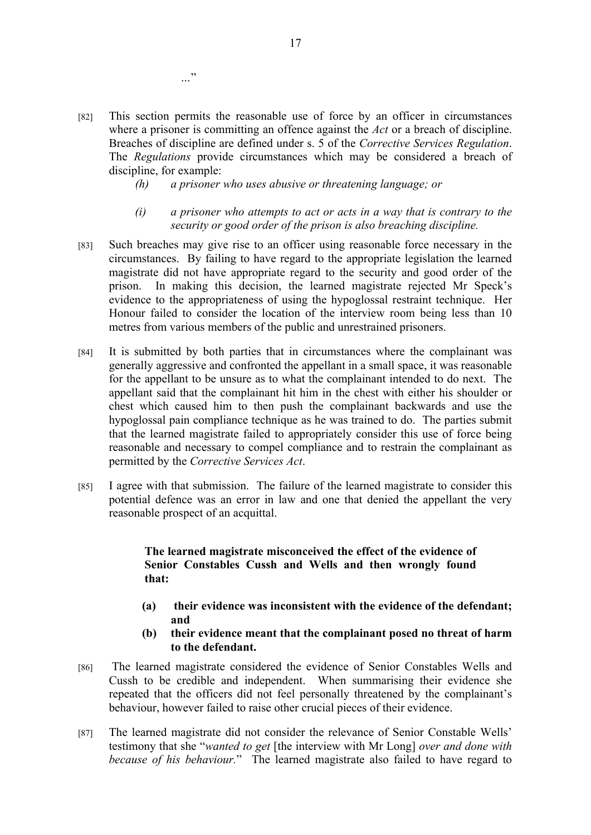- [82] This section permits the reasonable use of force by an officer in circumstances where a prisoner is committing an offence against the *Act* or a breach of discipline. Breaches of discipline are defined under s. 5 of the *Corrective Services Regulation*. The *Regulations* provide circumstances which may be considered a breach of discipline, for example:
	- *(h) a prisoner who uses abusive or threatening language; or*
	- *(i) a prisoner who attempts to act or acts in a way that is contrary to the security or good order of the prison is also breaching discipline.*
- [83] Such breaches may give rise to an officer using reasonable force necessary in the circumstances. By failing to have regard to the appropriate legislation the learned magistrate did not have appropriate regard to the security and good order of the prison. In making this decision, the learned magistrate rejected Mr Speck's evidence to the appropriateness of using the hypoglossal restraint technique. Her Honour failed to consider the location of the interview room being less than 10 metres from various members of the public and unrestrained prisoners.
- [84] It is submitted by both parties that in circumstances where the complainant was generally aggressive and confronted the appellant in a small space, it was reasonable for the appellant to be unsure as to what the complainant intended to do next. The appellant said that the complainant hit him in the chest with either his shoulder or chest which caused him to then push the complainant backwards and use the hypoglossal pain compliance technique as he was trained to do. The parties submit that the learned magistrate failed to appropriately consider this use of force being reasonable and necessary to compel compliance and to restrain the complainant as permitted by the *Corrective Services Act*.
- [85] I agree with that submission. The failure of the learned magistrate to consider this potential defence was an error in law and one that denied the appellant the very reasonable prospect of an acquittal.

#### **The learned magistrate misconceived the effect of the evidence of Senior Constables Cussh and Wells and then wrongly found that:**

- **(a) their evidence was inconsistent with the evidence of the defendant; and**
- **(b) their evidence meant that the complainant posed no threat of harm to the defendant.**
- [86] The learned magistrate considered the evidence of Senior Constables Wells and Cussh to be credible and independent. When summarising their evidence she repeated that the officers did not feel personally threatened by the complainant's behaviour, however failed to raise other crucial pieces of their evidence.
- [87] The learned magistrate did not consider the relevance of Senior Constable Wells' testimony that she "*wanted to get* [the interview with Mr Long] *over and done with because of his behaviour.*" The learned magistrate also failed to have regard to

*…*"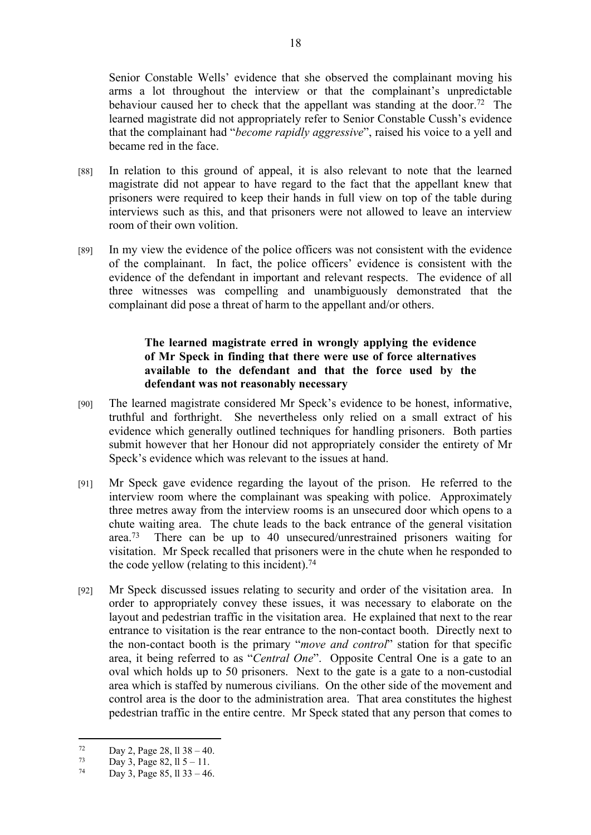Senior Constable Wells' evidence that she observed the complainant moving his arms a lot throughout the interview or that the complainant's unpredictable behaviour caused her to check that the appellant was standing at the door.<sup>72</sup> The learned magistrate did not appropriately refer to Senior Constable Cussh's evidence that the complainant had "*become rapidly aggressive*", raised his voice to a yell and became red in the face.

- [88] In relation to this ground of appeal, it is also relevant to note that the learned magistrate did not appear to have regard to the fact that the appellant knew that prisoners were required to keep their hands in full view on top of the table during interviews such as this, and that prisoners were not allowed to leave an interview room of their own volition.
- [89] In my view the evidence of the police officers was not consistent with the evidence of the complainant. In fact, the police officers' evidence is consistent with the evidence of the defendant in important and relevant respects. The evidence of all three witnesses was compelling and unambiguously demonstrated that the complainant did pose a threat of harm to the appellant and/or others.

# **The learned magistrate erred in wrongly applying the evidence of Mr Speck in finding that there were use of force alternatives available to the defendant and that the force used by the defendant was not reasonably necessary**

- [90] The learned magistrate considered Mr Speck's evidence to be honest, informative, truthful and forthright. She nevertheless only relied on a small extract of his evidence which generally outlined techniques for handling prisoners. Both parties submit however that her Honour did not appropriately consider the entirety of Mr Speck's evidence which was relevant to the issues at hand.
- [91] Mr Speck gave evidence regarding the layout of the prison. He referred to the interview room where the complainant was speaking with police. Approximately three metres away from the interview rooms is an unsecured door which opens to a chute waiting area. The chute leads to the back entrance of the general visitation area.<sup>73</sup> There can be up to 40 unsecured/unrestrained prisoners waiting for visitation. Mr Speck recalled that prisoners were in the chute when he responded to the code yellow (relating to this incident).<sup>74</sup>
- [92] Mr Speck discussed issues relating to security and order of the visitation area. In order to appropriately convey these issues, it was necessary to elaborate on the layout and pedestrian traffic in the visitation area. He explained that next to the rear entrance to visitation is the rear entrance to the non-contact booth. Directly next to the non-contact booth is the primary "*move and control*" station for that specific area, it being referred to as "*Central One*". Opposite Central One is a gate to an oval which holds up to 50 prisoners. Next to the gate is a gate to a non-custodial area which is staffed by numerous civilians. On the other side of the movement and control area is the door to the administration area. That area constitutes the highest pedestrian traffic in the entire centre. Mr Speck stated that any person that comes to

 $\frac{72}{73}$  Day 2, Page 28, 11 38 – 40.

 $73$  Day 3, Page 82, ll 5 – 11.<br>  $74$  Day 3, Page 85, ll 33, 46

Day 3, Page 85, ll  $33 - 46$ .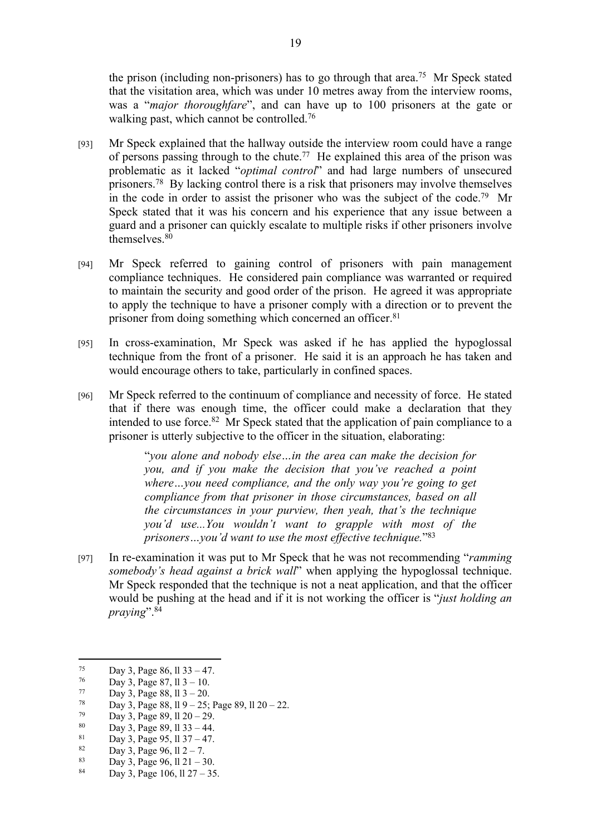the prison (including non-prisoners) has to go through that area.<sup>75</sup> Mr Speck stated that the visitation area, which was under 10 metres away from the interview rooms, was a "*major thoroughfare*", and can have up to 100 prisoners at the gate or walking past, which cannot be controlled.<sup>76</sup>

- [93] Mr Speck explained that the hallway outside the interview room could have a range of persons passing through to the chute.<sup>77</sup> He explained this area of the prison was problematic as it lacked "*optimal control*" and had large numbers of unsecured prisoners.<sup>78</sup> By lacking control there is a risk that prisoners may involve themselves in the code in order to assist the prisoner who was the subject of the code.<sup>79</sup> Mr Speck stated that it was his concern and his experience that any issue between a guard and a prisoner can quickly escalate to multiple risks if other prisoners involve themselves.<sup>80</sup>
- [94] Mr Speck referred to gaining control of prisoners with pain management compliance techniques. He considered pain compliance was warranted or required to maintain the security and good order of the prison. He agreed it was appropriate to apply the technique to have a prisoner comply with a direction or to prevent the prisoner from doing something which concerned an officer.<sup>81</sup>
- [95] In cross-examination, Mr Speck was asked if he has applied the hypoglossal technique from the front of a prisoner. He said it is an approach he has taken and would encourage others to take, particularly in confined spaces.
- [96] Mr Speck referred to the continuum of compliance and necessity of force. He stated that if there was enough time, the officer could make a declaration that they intended to use force.<sup>82</sup> Mr Speck stated that the application of pain compliance to a prisoner is utterly subjective to the officer in the situation, elaborating:

"*you alone and nobody else…in the area can make the decision for you, and if you make the decision that you've reached a point where…you need compliance, and the only way you're going to get compliance from that prisoner in those circumstances, based on all the circumstances in your purview, then yeah, that's the technique you'd use...You wouldn't want to grapple with most of the prisoners…you'd want to use the most effective technique.*" 83

[97] In re-examination it was put to Mr Speck that he was not recommending "*ramming somebody's head against a brick wall*" when applying the hypoglossal technique. Mr Speck responded that the technique is not a neat application, and that the officer would be pushing at the head and if it is not working the officer is "*just holding an praying*".<sup>84</sup>

 $\frac{75}{76}$  Day 3, Page 86, 11 33 – 47.

 $\frac{76}{77}$  Day 3, Page 87, 11 3 – 10.

<sup>77</sup> Day 3, Page 88, 11 3 – 20.

 $\frac{78}{79}$  Day 3, Page 88, 11 9 – 25; Page 89, 11 20 – 22.

 $\frac{79}{80}$  Day 3, Page 89, 11 20 – 29.

<sup>80</sup> Day 3, Page 89, 11 33 – 44.

<sup>&</sup>lt;sup>81</sup> Day 3, Page 95, ll 37 – 47.

<sup>&</sup>lt;sup>82</sup> Day 3, Page 96,  $11 \t2 - 7$ .<br><sup>83</sup> Day 3, Page 96,  $11 \t21 - 3$ 

<sup>&</sup>lt;sup>83</sup> Day 3, Page 96, ll 21 – 30.<br><sup>84</sup> Day 3, Page 106, ll 27, 25

Day 3, Page 106, ll 27 – 35.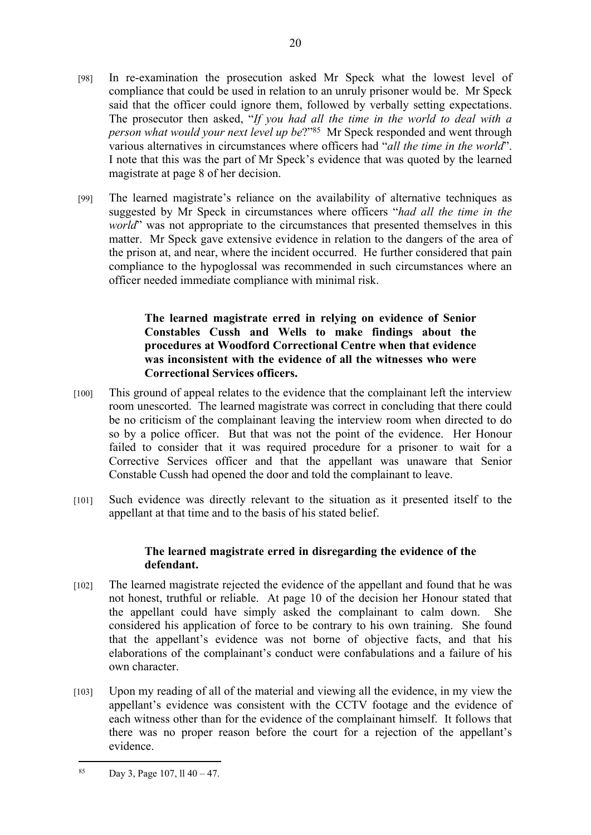- [98] In re-examination the prosecution asked Mr Speck what the lowest level of compliance that could be used in relation to an unruly prisoner would be. Mr Speck said that the officer could ignore them, followed by verbally setting expectations. The prosecutor then asked, "*If you had all the time in the world to deal with a person what would your next level up be*?"<sup>85</sup> Mr Speck responded and went through various alternatives in circumstances where officers had "*all the time in the world*". I note that this was the part of Mr Speck's evidence that was quoted by the learned magistrate at page 8 of her decision.
- [99] The learned magistrate's reliance on the availability of alternative techniques as suggested by Mr Speck in circumstances where officers "*had all the time in the world*" was not appropriate to the circumstances that presented themselves in this matter. Mr Speck gave extensive evidence in relation to the dangers of the area of the prison at, and near, where the incident occurred. He further considered that pain compliance to the hypoglossal was recommended in such circumstances where an officer needed immediate compliance with minimal risk.

## **The learned magistrate erred in relying on evidence of Senior Constables Cussh and Wells to make findings about the procedures at Woodford Correctional Centre when that evidence was inconsistent with the evidence of all the witnesses who were Correctional Services officers.**

- [100] This ground of appeal relates to the evidence that the complainant left the interview room unescorted. The learned magistrate was correct in concluding that there could be no criticism of the complainant leaving the interview room when directed to do so by a police officer. But that was not the point of the evidence. Her Honour failed to consider that it was required procedure for a prisoner to wait for a Corrective Services officer and that the appellant was unaware that Senior Constable Cussh had opened the door and told the complainant to leave.
- [101] Such evidence was directly relevant to the situation as it presented itself to the appellant at that time and to the basis of his stated belief.

# **The learned magistrate erred in disregarding the evidence of the defendant.**

- [102] The learned magistrate rejected the evidence of the appellant and found that he was not honest, truthful or reliable. At page 10 of the decision her Honour stated that the appellant could have simply asked the complainant to calm down. She considered his application of force to be contrary to his own training. She found that the appellant's evidence was not borne of objective facts, and that his elaborations of the complainant's conduct were confabulations and a failure of his own character.
- [103] Upon my reading of all of the material and viewing all the evidence, in my view the appellant's evidence was consistent with the CCTV footage and the evidence of each witness other than for the evidence of the complainant himself. It follows that there was no proper reason before the court for a rejection of the appellant's evidence.

<sup>85</sup> Day 3, Page 107, ll  $40 - 47$ .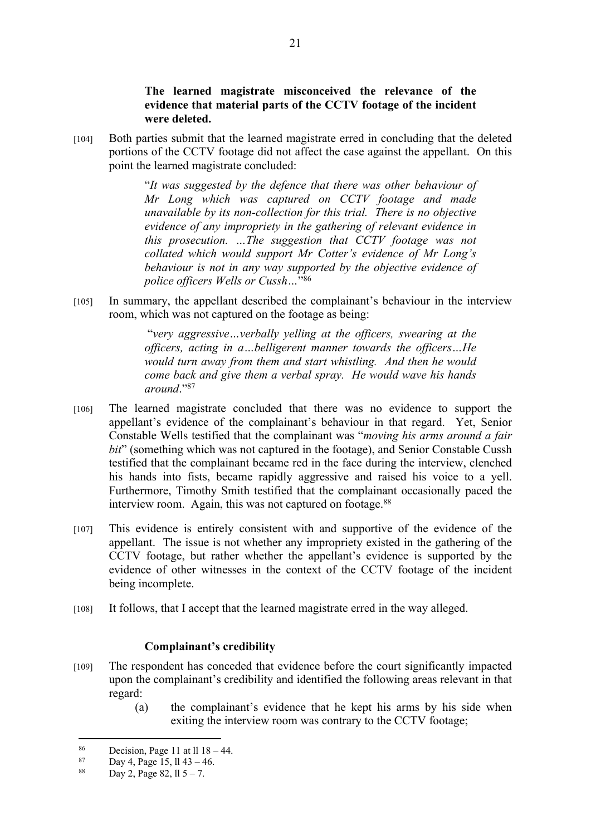**The learned magistrate misconceived the relevance of the evidence that material parts of the CCTV footage of the incident were deleted.**

[104] Both parties submit that the learned magistrate erred in concluding that the deleted portions of the CCTV footage did not affect the case against the appellant. On this point the learned magistrate concluded:

> "*It was suggested by the defence that there was other behaviour of Mr Long which was captured on CCTV footage and made unavailable by its non-collection for this trial. There is no objective evidence of any impropriety in the gathering of relevant evidence in this prosecution. …The suggestion that CCTV footage was not collated which would support Mr Cotter's evidence of Mr Long's behaviour is not in any way supported by the objective evidence of police officers Wells or Cussh…*" 86

[105] In summary, the appellant described the complainant's behaviour in the interview room, which was not captured on the footage as being:

> "*very aggressive…verbally yelling at the officers, swearing at the officers, acting in a…belligerent manner towards the officers…He would turn away from them and start whistling. And then he would come back and give them a verbal spray. He would wave his hands around*."<sup>87</sup>

- [106] The learned magistrate concluded that there was no evidence to support the appellant's evidence of the complainant's behaviour in that regard. Yet, Senior Constable Wells testified that the complainant was "*moving his arms around a fair bit*" (something which was not captured in the footage), and Senior Constable Cussh testified that the complainant became red in the face during the interview, clenched his hands into fists, became rapidly aggressive and raised his voice to a yell. Furthermore, Timothy Smith testified that the complainant occasionally paced the interview room. Again, this was not captured on footage.<sup>88</sup>
- [107] This evidence is entirely consistent with and supportive of the evidence of the appellant. The issue is not whether any impropriety existed in the gathering of the CCTV footage, but rather whether the appellant's evidence is supported by the evidence of other witnesses in the context of the CCTV footage of the incident being incomplete.
- [108] It follows, that I accept that the learned magistrate erred in the way alleged.

#### **Complainant's credibility**

- [109] The respondent has conceded that evidence before the court significantly impacted upon the complainant's credibility and identified the following areas relevant in that regard:
	- (a) the complainant's evidence that he kept his arms by his side when exiting the interview room was contrary to the CCTV footage;

<sup>86</sup> Decision, Page 11 at ll  $18 - 44$ .<br>87 Devide Page 15, 11, 42, 46

<sup>87</sup> Day 4, Page 15, 11 43 – 46.<br>88 Day 2, Page 82, 11 5, 7

Day 2, Page 82,  $11\frac{1}{5} - 7$ .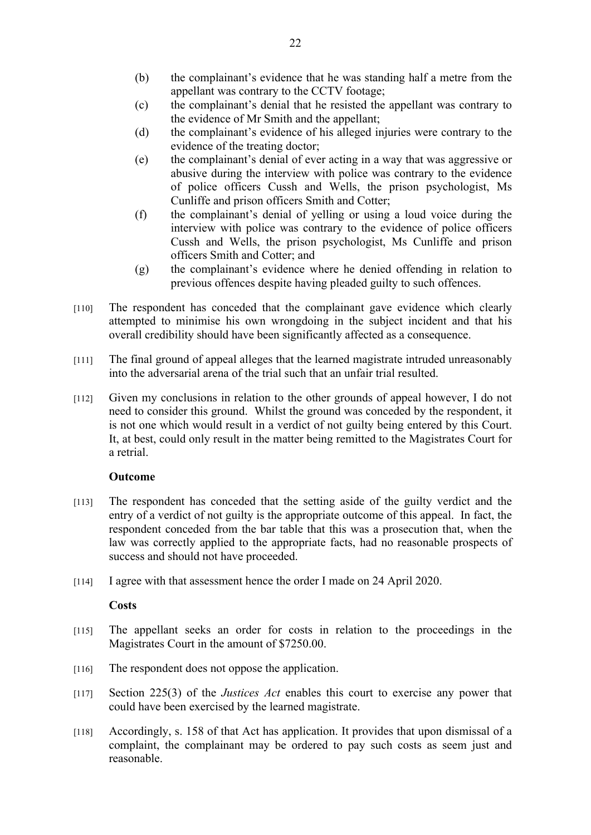- (b) the complainant's evidence that he was standing half a metre from the appellant was contrary to the CCTV footage;
- (c) the complainant's denial that he resisted the appellant was contrary to the evidence of Mr Smith and the appellant;
- (d) the complainant's evidence of his alleged injuries were contrary to the evidence of the treating doctor;
- (e) the complainant's denial of ever acting in a way that was aggressive or abusive during the interview with police was contrary to the evidence of police officers Cussh and Wells, the prison psychologist, Ms Cunliffe and prison officers Smith and Cotter;
- (f) the complainant's denial of yelling or using a loud voice during the interview with police was contrary to the evidence of police officers Cussh and Wells, the prison psychologist, Ms Cunliffe and prison officers Smith and Cotter; and
- (g) the complainant's evidence where he denied offending in relation to previous offences despite having pleaded guilty to such offences.
- [110] The respondent has conceded that the complainant gave evidence which clearly attempted to minimise his own wrongdoing in the subject incident and that his overall credibility should have been significantly affected as a consequence.
- [111] The final ground of appeal alleges that the learned magistrate intruded unreasonably into the adversarial arena of the trial such that an unfair trial resulted.
- [112] Given my conclusions in relation to the other grounds of appeal however, I do not need to consider this ground. Whilst the ground was conceded by the respondent, it is not one which would result in a verdict of not guilty being entered by this Court. It, at best, could only result in the matter being remitted to the Magistrates Court for a retrial.

#### **Outcome**

- [113] The respondent has conceded that the setting aside of the guilty verdict and the entry of a verdict of not guilty is the appropriate outcome of this appeal. In fact, the respondent conceded from the bar table that this was a prosecution that, when the law was correctly applied to the appropriate facts, had no reasonable prospects of success and should not have proceeded.
- [114] I agree with that assessment hence the order I made on 24 April 2020.

#### **Costs**

- [115] The appellant seeks an order for costs in relation to the proceedings in the Magistrates Court in the amount of \$7250.00.
- [116] The respondent does not oppose the application.
- [117] Section 225(3) of the *Justices Act* enables this court to exercise any power that could have been exercised by the learned magistrate.
- [118] Accordingly, s. 158 of that Act has application. It provides that upon dismissal of a complaint, the complainant may be ordered to pay such costs as seem just and reasonable.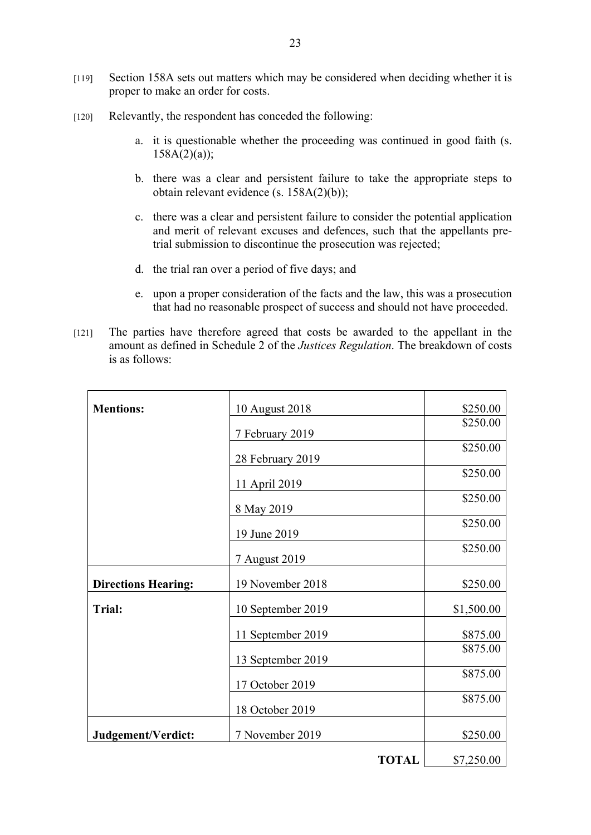- [119] Section 158A sets out matters which may be considered when deciding whether it is proper to make an order for costs.
- [120] Relevantly, the respondent has conceded the following:
	- a. it is questionable whether the proceeding was continued in good faith (s.  $158A(2)(a)$ ;
	- b. there was a clear and persistent failure to take the appropriate steps to obtain relevant evidence (s. 158A(2)(b));
	- c. there was a clear and persistent failure to consider the potential application and merit of relevant excuses and defences, such that the appellants pretrial submission to discontinue the prosecution was rejected;
	- d. the trial ran over a period of five days; and
	- e. upon a proper consideration of the facts and the law, this was a prosecution that had no reasonable prospect of success and should not have proceeded.
- [121] The parties have therefore agreed that costs be awarded to the appellant in the amount as defined in Schedule 2 of the *Justices Regulation*. The breakdown of costs is as follows:

| <b>Mentions:</b>           | 10 August 2018    | \$250.00   |
|----------------------------|-------------------|------------|
|                            | 7 February 2019   | \$250.00   |
|                            | 28 February 2019  | \$250.00   |
|                            | 11 April 2019     | \$250.00   |
|                            | 8 May 2019        | \$250.00   |
|                            | 19 June 2019      | \$250.00   |
|                            | 7 August 2019     | \$250.00   |
| <b>Directions Hearing:</b> | 19 November 2018  | \$250.00   |
| <b>Trial:</b>              | 10 September 2019 | \$1,500.00 |
|                            | 11 September 2019 | \$875.00   |
|                            | 13 September 2019 | \$875.00   |
|                            | 17 October 2019   | \$875.00   |
|                            | 18 October 2019   | \$875.00   |
| Judgement/Verdict:         | 7 November 2019   | \$250.00   |
|                            | <b>TOTAL</b>      | \$7,250.00 |